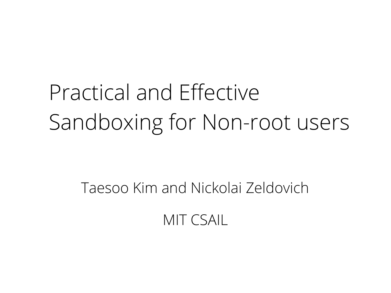# Practical and Effective Sandboxing for Non-root users

Taesoo Kim and Nickolai Zeldovich

MIT CSAIL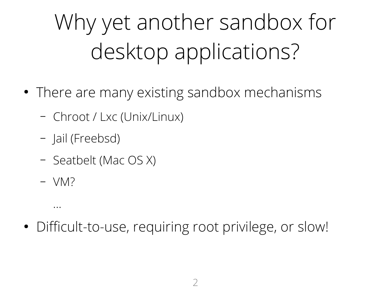Why yet another sandbox for desktop applications?

- There are many existing sandbox mechanisms
	- Chroot / Lxc (Unix/Linux)
	- Jail (Freebsd)
	- Seatbelt (Mac OS X)
	- VM?

...

• Difficult-to-use, requiring root privilege, or slow!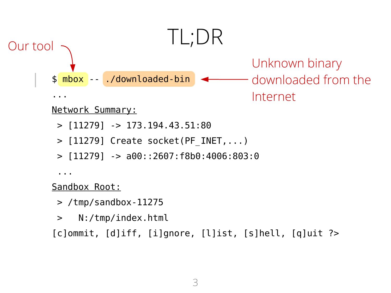

[c]ommit, [d]iff, [i]gnore, [l]ist, [s]hell, [q]uit ?>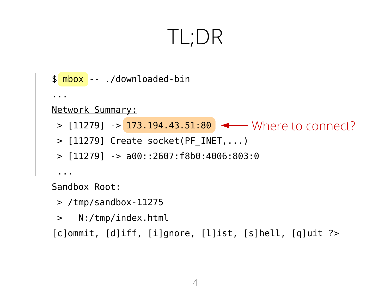#### TL;DR

```
Where to connect?
> [11279] -> 173.194.43.51:80
$ mbox -- ./downloaded-bin
...
Network Summary:
 > [11279] Create socket(PF_INET,...)
 > [11279] -> a00::2607:f8b0:4006:803:0
 ...
```
Sandbox Root:

- > /tmp/sandbox-11275
- > N:/tmp/index.html

[c]ommit, [d]iff, [i]gnore, [l]ist, [s]hell, [q]uit ?>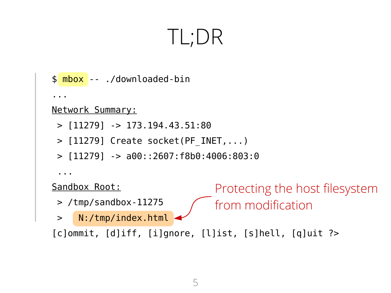#### TL;DR

```
Protecting the host filesystem 
                               from modification
$ mbox -- ./downloaded-bin
...
Network Summary:
 > [11279] -> 173.194.43.51:80
 > [11279] Create socket(PF_INET,...)
 > [11279] -> a00::2607:f8b0:4006:803:0
 ...
Sandbox Root:
 > /tmp/sandbox-11275
 > N:/tmp/index.html
[c]ommit, [d]iff, [i]gnore, [l]ist, [s]hell, [q]uit ?>
```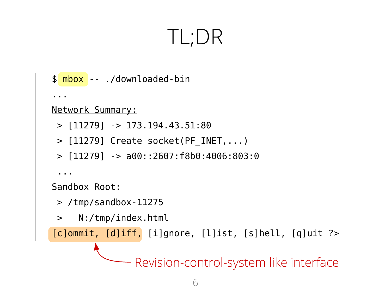#### TL;DR

```
Revision-control-system like interface
$ mbox -- ./downloaded-bin
...
Network Summary:
 > [11279] -> 173.194.43.51:80
 > [11279] Create socket(PF_INET,...)
 > [11279] -> a00::2607:f8b0:4006:803:0
 ...
Sandbox Root:
 > /tmp/sandbox-11275
 > N:/tmp/index.html
[c]ommit, [d]iff, [i]gnore, [l]ist, [s]hell, [q]uit ?>
```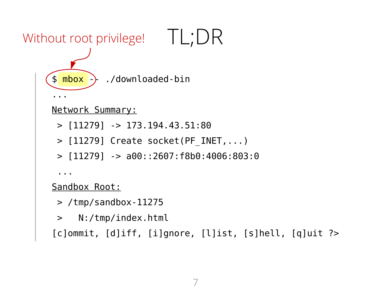```
Without root privilege! TL;DR
     \phi mbox \rightarrow ./downloaded-bin
     ...
     Network Summary:
      > [11279] -> 173.194.43.51:80
      > [11279] Create socket(PF_INET,...)
      > [11279] -> a00::2607:f8b0:4006:803:0
      ...
     Sandbox Root:
      > /tmp/sandbox-11275
      > N:/tmp/index.html
     [c]ommit, [d]iff, [i]gnore, [l]ist, [s]hell, [q]uit ?>
```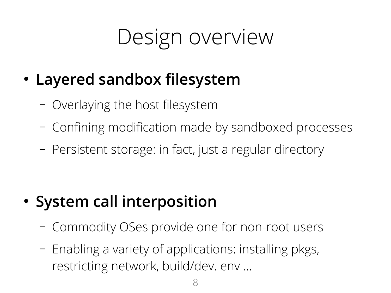### Design overview

- **Layered sandbox filesystem**
	- Overlaying the host filesystem
	- Confining modification made by sandboxed processes
	- Persistent storage: in fact, just a regular directory

- **System call interposition**
	- Commodity OSes provide one for non-root users
	- Enabling a variety of applications: installing pkgs, restricting network, build/dev. env ...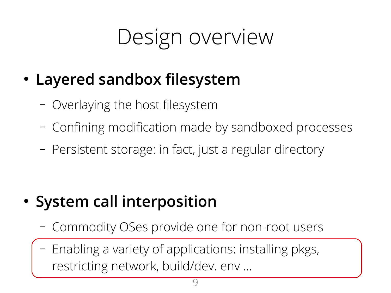### Design overview

- **Layered sandbox filesystem**
	- Overlaying the host filesystem
	- Confining modification made by sandboxed processes
	- Persistent storage: in fact, just a regular directory

- **System call interposition**
	- Commodity OSes provide one for non-root users
	- Enabling a variety of applications: installing pkgs, restricting network, build/dev. env ...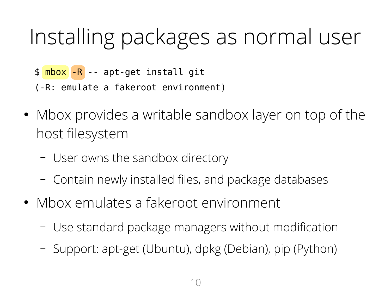### Installing packages as normal user

- \$ mbox -R -- apt-get install git
- (-R: emulate a fakeroot environment)
- Mbox provides a writable sandbox layer on top of the host filesystem
	- User owns the sandbox directory
	- Contain newly installed files, and package databases
- Mbox emulates a fakeroot environment
	- Use standard package managers without modification
	- Support: apt-get (Ubuntu), dpkg (Debian), pip (Python)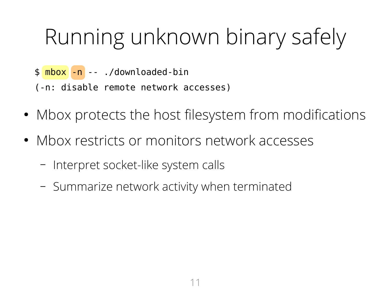### Running unknown binary safely

- \$ mbox -n -- ./downloaded-bin
- (-n: disable remote network accesses)
- Mbox protects the host filesystem from modifications
- Mbox restricts or monitors network accesses
	- Interpret socket-like system calls
	- Summarize network activity when terminated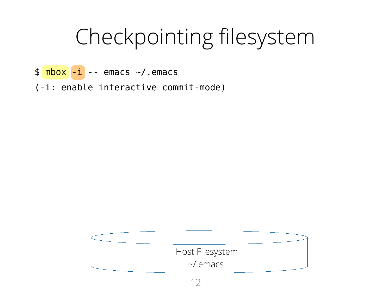- $\oint \frac{mbox}{s} -i$  -- emacs  $\sim/$ .emacs
- (-i: enable interactive commit-mode)

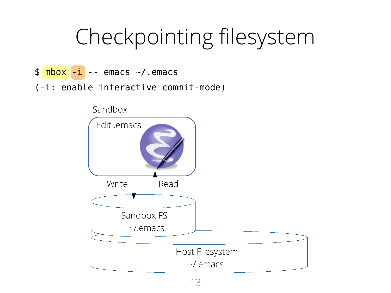- $\oint \frac{\text{mbox}}{\text{max}}$  -- emacs  $\sim$ /.emacs
- (-i: enable interactive commit-mode)

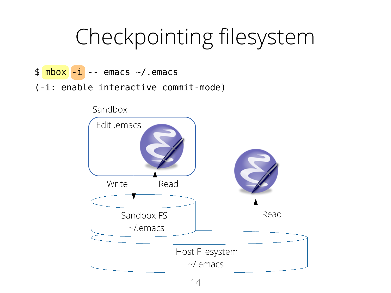- $\oint \frac{\text{mbox}}{\text{max}}$  -- emacs  $\sim$ /.emacs
- (-i: enable interactive commit-mode)

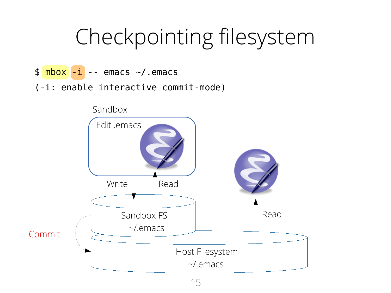- $\oint \frac{\text{mbox}}{\text{max}}$  -- emacs  $\sim$ /.emacs
- (-i: enable interactive commit-mode)

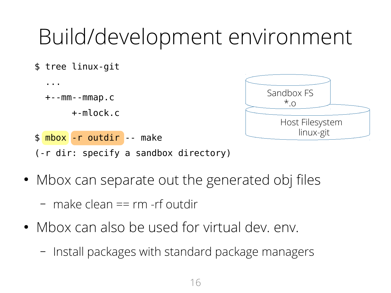#### Build/development environment



• Mbox can separate out the generated obj files

– make clean == rm -rf outdir

- Mbox can also be used for virtual dev. env.
	- Install packages with standard package managers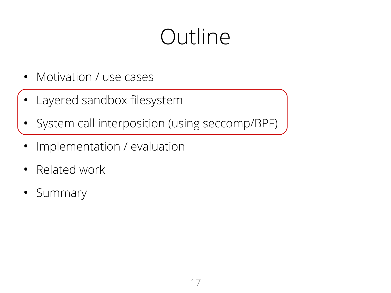#### Outline

- Motivation / use cases
- Layered sandbox filesystem
- System call interposition (using seccomp/BPF)
- Implementation / evaluation
- Related work
- Summary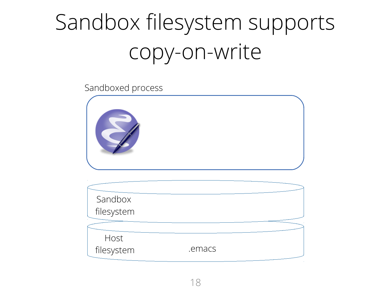

| Sandbox    |        |  |
|------------|--------|--|
| filesystem |        |  |
|            |        |  |
| Host       |        |  |
| filesystem | .emacs |  |
|            |        |  |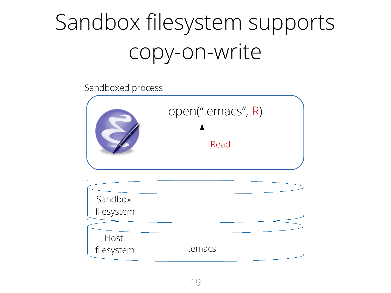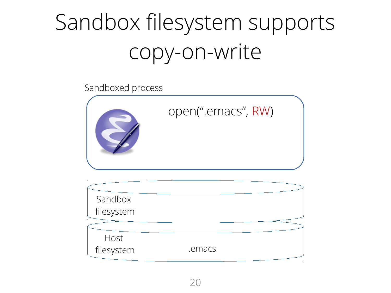

| Sandbox    |        |  |
|------------|--------|--|
| filesystem |        |  |
|            |        |  |
| Host       |        |  |
| filesystem | .emacs |  |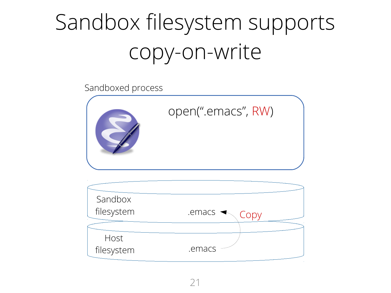

| Sandbox    |                                        |
|------------|----------------------------------------|
| filesystem | $.$ emacs $\blacktriangleleft$<br>Copy |
|            |                                        |
| Host       |                                        |
| filesystem | .emacs                                 |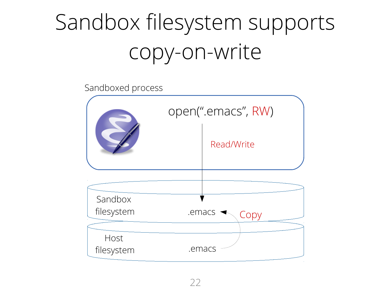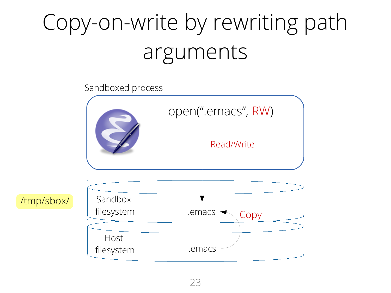# Copy-on-write by rewriting path arguments



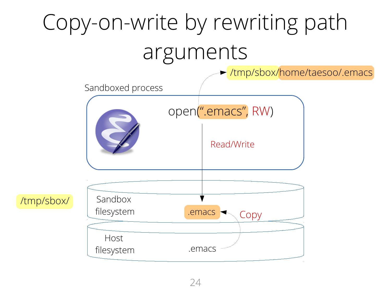# Copy-on-write by rewriting path arguments

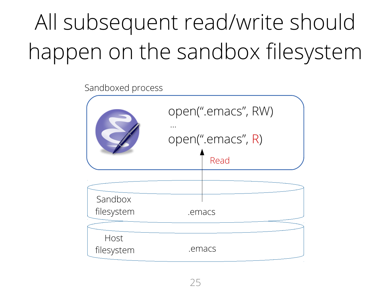# All subsequent read/write should happen on the sandbox filesystem

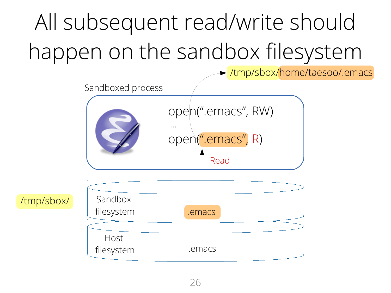# All subsequent read/write should happen on the sandbox filesystem



/tmp/sbox/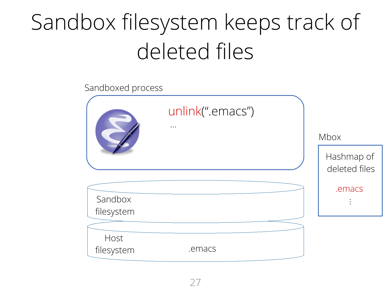# Sandbox filesystem keeps track of deleted files

| Sandboxed process     |                              |                             |
|-----------------------|------------------------------|-----------------------------|
|                       | unlink(".emacs")<br>$\cdots$ | Mbox                        |
|                       |                              | Hashmap of<br>deleted files |
| Sandbox<br>filesystem |                              | .emacs                      |
| Host<br>filesystem    | .emacs                       |                             |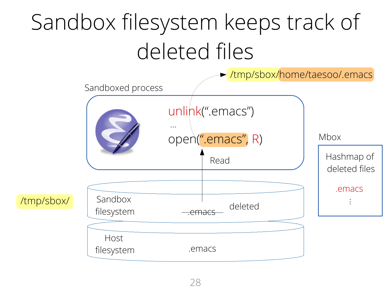# Sandbox filesystem keeps track of deleted files

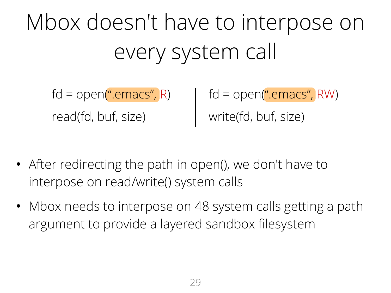Mbox doesn't have to interpose on every system call

read(fd, buf, size) write(fd, buf, size)

fd = open(".emacs", R) fd = open(".emacs", RW)

- After redirecting the path in open(), we don't have to interpose on read/write() system calls
- Mbox needs to interpose on 48 system calls getting a path argument to provide a layered sandbox filesystem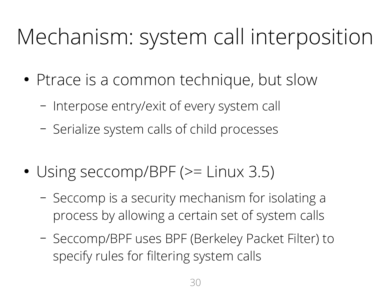# Mechanism: system call interposition

- Ptrace is a common technique, but slow
	- Interpose entry/exit of every system call
	- Serialize system calls of child processes
- Using seccomp/BPF ( $>=$  Linux 3.5)
	- Seccomp is a security mechanism for isolating a process by allowing a certain set of system calls
	- Seccomp/BPF uses BPF (Berkeley Packet Filter) to specify rules for filtering system calls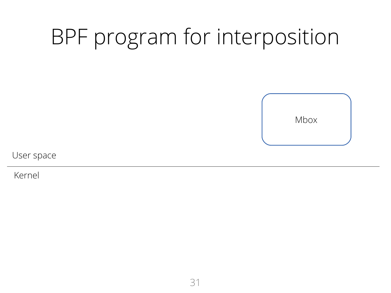

User space

Kernel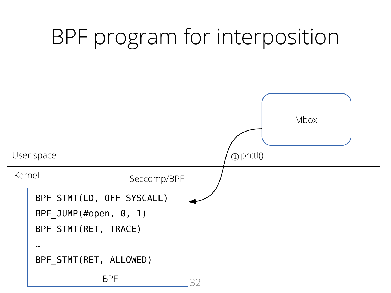#### 32 BPF program for interposition Mbox Kernel User space BPF\_STMT(LD, OFF\_SYSCALL) BPF\_JUMP(#open, 0, 1) BPF\_STMT(RET, TRACE) … BPF\_STMT(RET, ALLOWED) BPF ①prctl() Seccomp/BPF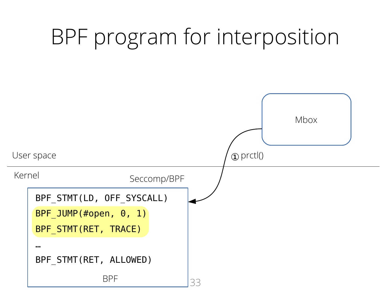#### BPF program for interposition Mbox Kernel User space BPF\_STMT(LD, OFF\_SYSCALL) BPF\_JUMP(#open, 0, 1) BPF STMT(RET, TRACE) … BPF\_STMT(RET, ALLOWED) ①prctl() Seccomp/BPF

33

BPF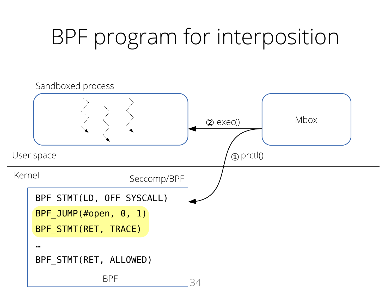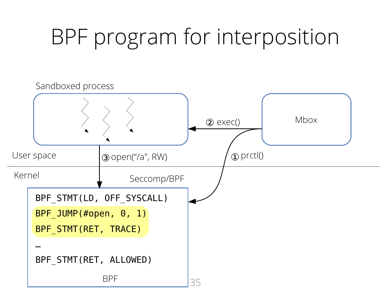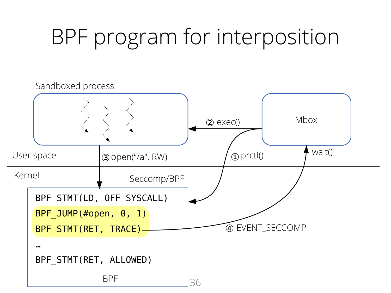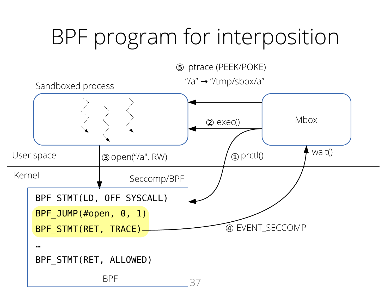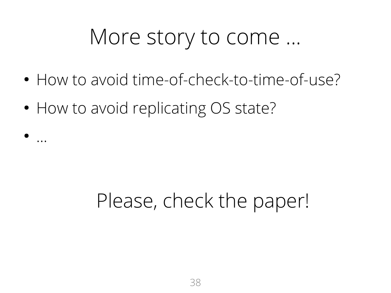#### More story to come ...

- How to avoid time-of-check-to-time-of-use?
- How to avoid replicating OS state?

● ...

#### Please, check the paper!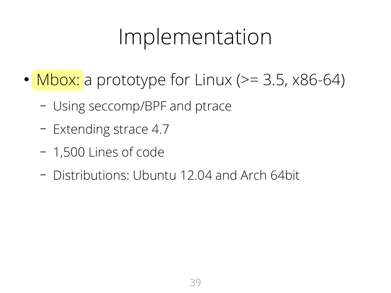#### Implementation

- Mbox: a prototype for Linux ( $>= 3.5$ , x86-64)
	- Using seccomp/BPF and ptrace
	- Extending strace 4.7
	- 1,500 Lines of code
	- Distributions: Ubuntu 12.04 and Arch 64bit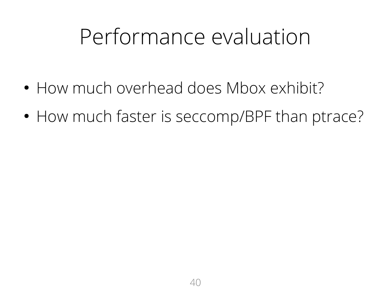#### Performance evaluation

- How much overhead does Mbox exhibit?
- How much faster is seccomp/BPF than ptrace?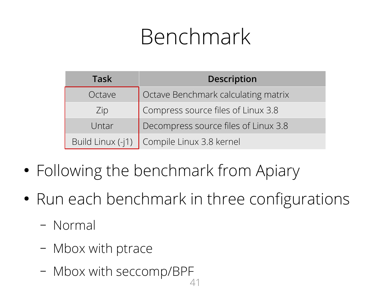### Benchmark

| <b>Task</b>       | <b>Description</b>                   |
|-------------------|--------------------------------------|
| Octave            | Octave Benchmark calculating matrix  |
| Zip               | Compress source files of Linux 3.8   |
| Untar             | Decompress source files of Linux 3.8 |
| Build Linux (-j1) | Compile Linux 3.8 kernel             |

- Following the benchmark from Apiary
- Run each benchmark in three configurations
	- Normal
	- Mbox with ptrace
	- $\mathcal{A}^{\prime}$ – Mbox with seccomp/BPF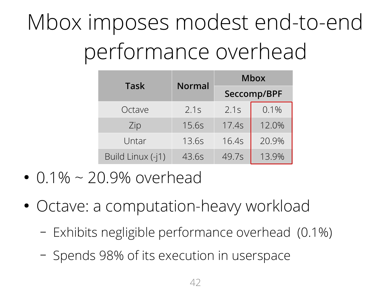# Mbox imposes modest end-to-end performance overhead

|                   |               | <b>Mbox</b> |         |  |
|-------------------|---------------|-------------|---------|--|
| Task              | <b>Normal</b> | Seccomp/BPF |         |  |
| Octave            | 2.1s          | 2.1s        | $0.1\%$ |  |
| Zip               | 15.6s         | 17.4s       | 12.0%   |  |
| Untar             | 13.6s         | 16.4s       | 20.9%   |  |
| Build Linux (-j1) | 43.6s         | 49.7s       | 13.9%   |  |

- $\cdot$  0.1%  $\sim$  20.9% overhead
- Octave: a computation-heavy workload
	- Exhibits negligible performance overhead (0.1%)
	- Spends 98% of its execution in userspace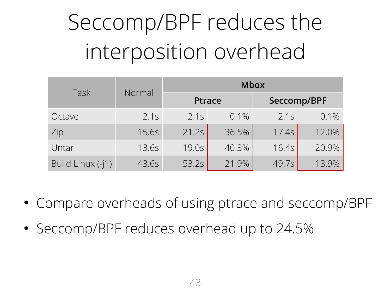# Seccomp/BPF reduces the interposition overhead

| Task              | Normal | <b>Mbox</b>   |         |             |         |
|-------------------|--------|---------------|---------|-------------|---------|
|                   |        | <b>Ptrace</b> |         | Seccomp/BPF |         |
| Octave            | 2.1s   | 2.1s          | $0.1\%$ | 2.1s        | $0.1\%$ |
| Zip               | 15.6s  | 21.2s         | 36.5%   | 17.4s       | 12.0%   |
| Untar             | 13.6s  | 19.0s         | 40.3%   | 16.4s       | 20.9%   |
| Build Linux (-j1) | 43.6s  | 53.2s         | 21.9%   | 49.7s       | 13.9%   |

- Compare overheads of using ptrace and seccomp/BPF
- Seccomp/BPF reduces overhead up to 24.5%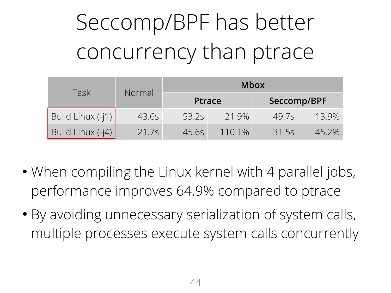# Seccomp/BPF has better concurrency than ptrace

| Task               |        | <b>Mbox</b>   |        |       |             |
|--------------------|--------|---------------|--------|-------|-------------|
|                    | Normal | <b>Ptrace</b> |        |       | Seccomp/BPF |
| Build Linux $(-1)$ | 43.6s  | 53.2s         | 21.9%  | 49.7s | 13.9%       |
| Build Linux (-j4)  | 21.7s  | 45.65         | 110.1% | 31.5s | 45.2%       |

- When compiling the Linux kernel with 4 parallel jobs, performance improves 64.9% compared to ptrace
- By avoiding unnecessary serialization of system calls, multiple processes execute system calls concurrently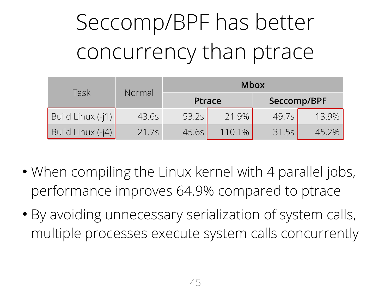# Seccomp/BPF has better concurrency than ptrace

| Task               |        | <b>Mbox</b> |               |             |       |  |
|--------------------|--------|-------------|---------------|-------------|-------|--|
|                    | Normal |             | <b>Ptrace</b> | Seccomp/BPF |       |  |
| Build Linux $(-1)$ | 43.6s  | 53.2s       | 21.9%         | 49.7s       | 13.9% |  |
| Build Linux (-j4)  | 21.7s  | 45.6s       | 110.1%        | 31.5s       | 45.2% |  |

- When compiling the Linux kernel with 4 parallel jobs, performance improves 64.9% compared to ptrace
- By avoiding unnecessary serialization of system calls, multiple processes execute system calls concurrently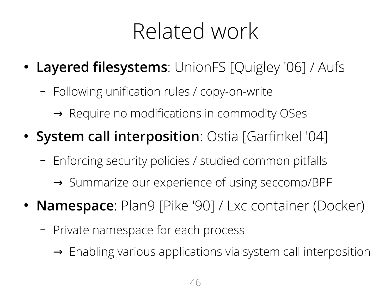#### Related work

- Layered filesystems: UnionFS [Quigley '06] / Aufs
	- Following unification rules / copy-on-write
		- $\rightarrow$  Require no modifications in commodity OSes
- **System call interposition**: Ostia [Garfinkel '04]
	- Enforcing security policies / studied common pitfalls
		- → Summarize our experience of using seccomp/BPF
- **Namespace**: Plan9 [Pike '90] / Lxc container (Docker)
	- Private namespace for each process
		- $\rightarrow$  Enabling various applications via system call interposition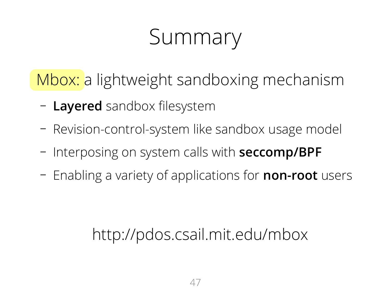### Summary

Mbox: a lightweight sandboxing mechanism

- **Layered** sandbox filesystem
- Revision-control-system like sandbox usage model
- Interposing on system calls with **seccomp/BPF**
- Enabling a variety of applications for **non-root** users

#### http://pdos.csail.mit.edu/mbox